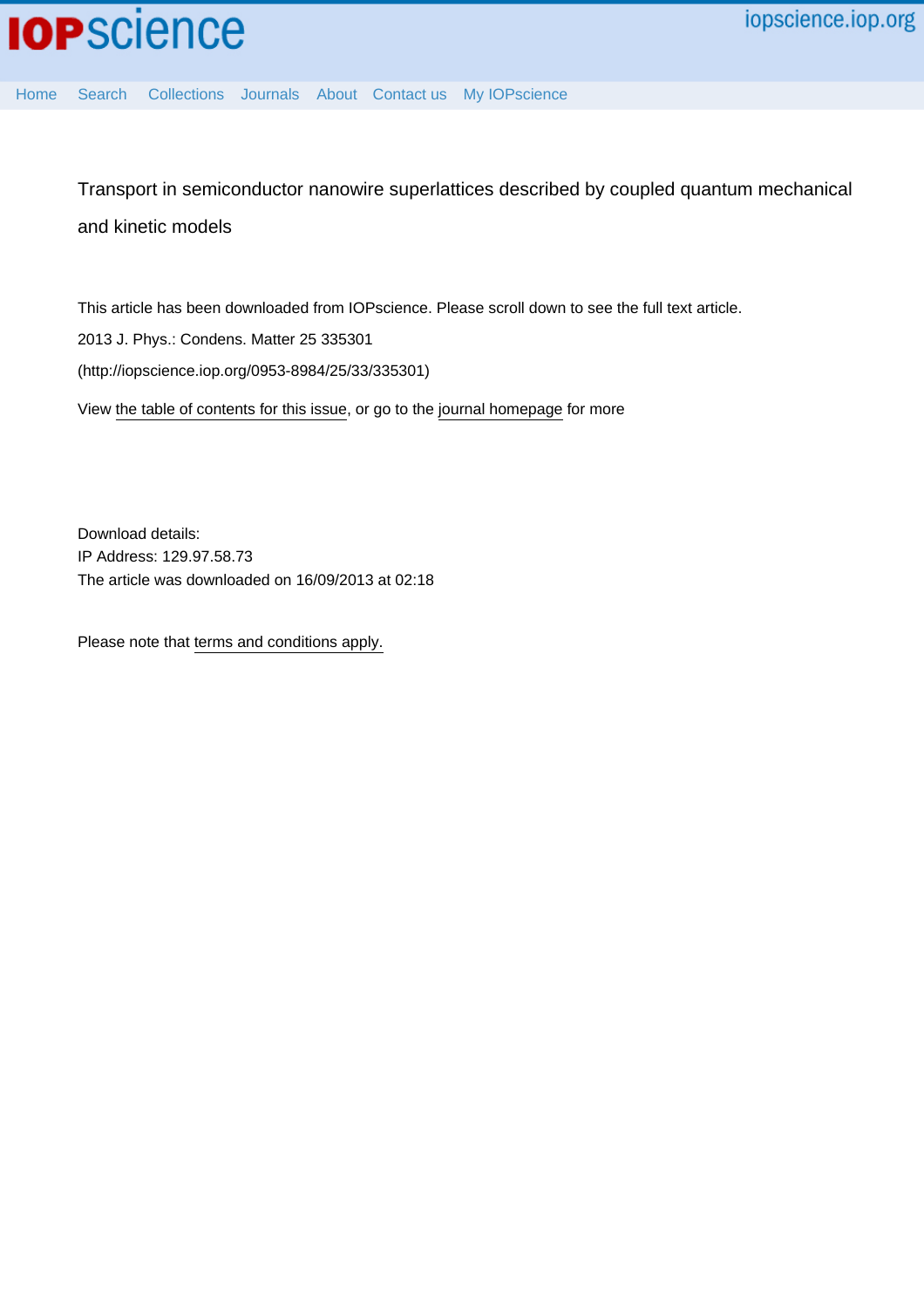

[Home](http://iopscience.iop.org/) [Search](http://iopscience.iop.org/search) [Collections](http://iopscience.iop.org/collections) [Journals](http://iopscience.iop.org/journals) [About](http://iopscience.iop.org/page/aboutioppublishing) [Contact us](http://iopscience.iop.org/contact) [My IOPscience](http://iopscience.iop.org/myiopscience)

Transport in semiconductor nanowire superlattices described by coupled quantum mechanical and kinetic models

This article has been downloaded from IOPscience. Please scroll down to see the full text article. 2013 J. Phys.: Condens. Matter 25 335301 (http://iopscience.iop.org/0953-8984/25/33/335301) View [the table of contents for this issue](http://iopscience.iop.org/0953-8984/25/33), or go to the [journal homepage](http://iopscience.iop.org/0953-8984) for more

Download details: IP Address: 129.97.58.73 The article was downloaded on 16/09/2013 at 02:18

Please note that [terms and conditions apply.](http://iopscience.iop.org/page/terms)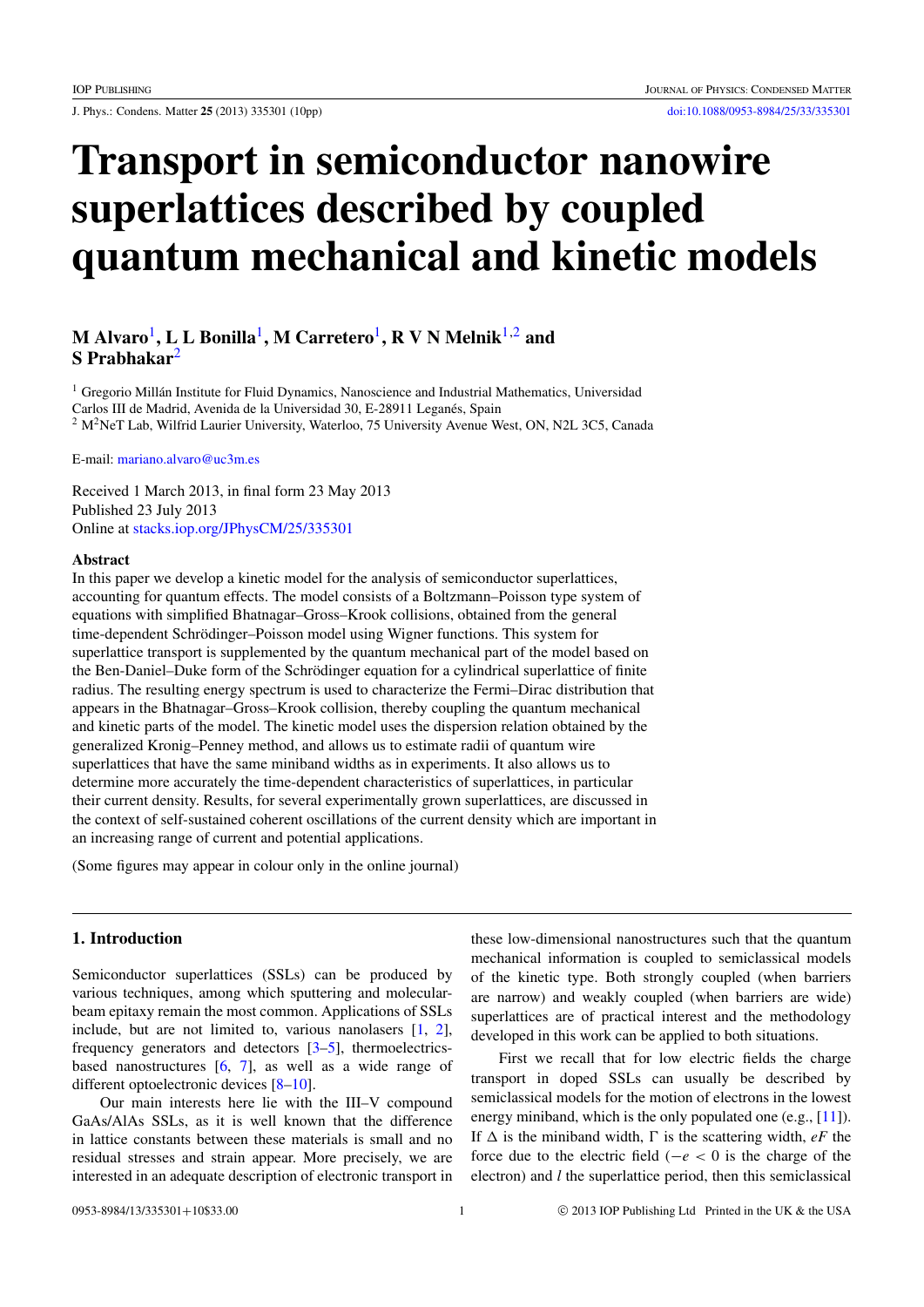# Transport in semiconductor nanowire superlattices described by coupled quantum mechanical and kinetic models

## M Alvaro $^1,$  $^1,$  $^1,$  L L Bonilla $^1,$  M Carretero $^1,$  R V N Melnik $^{1,2}$  $^{1,2}$  $^{1,2}$  and S Prabhakar<sup>[2](#page-1-1)</sup>

<span id="page-1-1"></span><span id="page-1-0"></span> $<sup>1</sup>$  Gregorio Millán Institute for Fluid Dynamics, Nanoscience and Industrial Mathematics, Universidad</sup> Carlos III de Madrid, Avenida de la Universidad 30, E-28911 Leganés, Spain <sup>2</sup> M2NeT Lab, Wilfrid Laurier University, Waterloo, 75 University Avenue West, ON, N2L 3C5, Canada

E-mail: [mariano.alvaro@uc3m.es](mailto:mariano.alvaro@uc3m.es)

Received 1 March 2013, in final form 23 May 2013 Published 23 July 2013 Online at [stacks.iop.org/JPhysCM/25/335301](http://stacks.iop.org/JPhysCM/25/335301)

#### **Abstract**

In this paper we develop a kinetic model for the analysis of semiconductor superlattices, accounting for quantum effects. The model consists of a Boltzmann–Poisson type system of equations with simplified Bhatnagar–Gross–Krook collisions, obtained from the general time-dependent Schrödinger–Poisson model using Wigner functions. This system for superlattice transport is supplemented by the quantum mechanical part of the model based on the Ben-Daniel–Duke form of the Schrödinger equation for a cylindrical superlattice of finite radius. The resulting energy spectrum is used to characterize the Fermi–Dirac distribution that appears in the Bhatnagar–Gross–Krook collision, thereby coupling the quantum mechanical and kinetic parts of the model. The kinetic model uses the dispersion relation obtained by the generalized Kronig–Penney method, and allows us to estimate radii of quantum wire superlattices that have the same miniband widths as in experiments. It also allows us to determine more accurately the time-dependent characteristics of superlattices, in particular their current density. Results, for several experimentally grown superlattices, are discussed in the context of self-sustained coherent oscillations of the current density which are important in an increasing range of current and potential applications.

(Some figures may appear in colour only in the online journal)

## <span id="page-1-2"></span>1. Introduction

Semiconductor superlattices (SSLs) can be produced by various techniques, among which sputtering and molecularbeam epitaxy remain the most common. Applications of SSLs include, but are not limited to, various nanolasers [\[1,](#page-10-0) [2\]](#page-10-1), frequency generators and detectors [\[3](#page-10-2)[–5\]](#page-10-3), thermoelectricsbased nanostructures  $[6, 7]$  $[6, 7]$  $[6, 7]$ , as well as a wide range of different optoelectronic devices [\[8](#page-10-6)[–10\]](#page-10-7).

Our main interests here lie with the III–V compound GaAs/AlAs SSLs, as it is well known that the difference in lattice constants between these materials is small and no residual stresses and strain appear. More precisely, we are interested in an adequate description of electronic transport in

these low-dimensional nanostructures such that the quantum mechanical information is coupled to semiclassical models of the kinetic type. Both strongly coupled (when barriers are narrow) and weakly coupled (when barriers are wide) superlattices are of practical interest and the methodology developed in this work can be applied to both situations.

First we recall that for low electric fields the charge transport in doped SSLs can usually be described by semiclassical models for the motion of electrons in the lowest energy miniband, which is the only populated one (e.g., [\[11\]](#page-10-8)). If  $\Delta$  is the miniband width,  $\Gamma$  is the scattering width, *eF* the force due to the electric field (−*e* < 0 is the charge of the electron) and *l* the superlattice period, then this semiclassical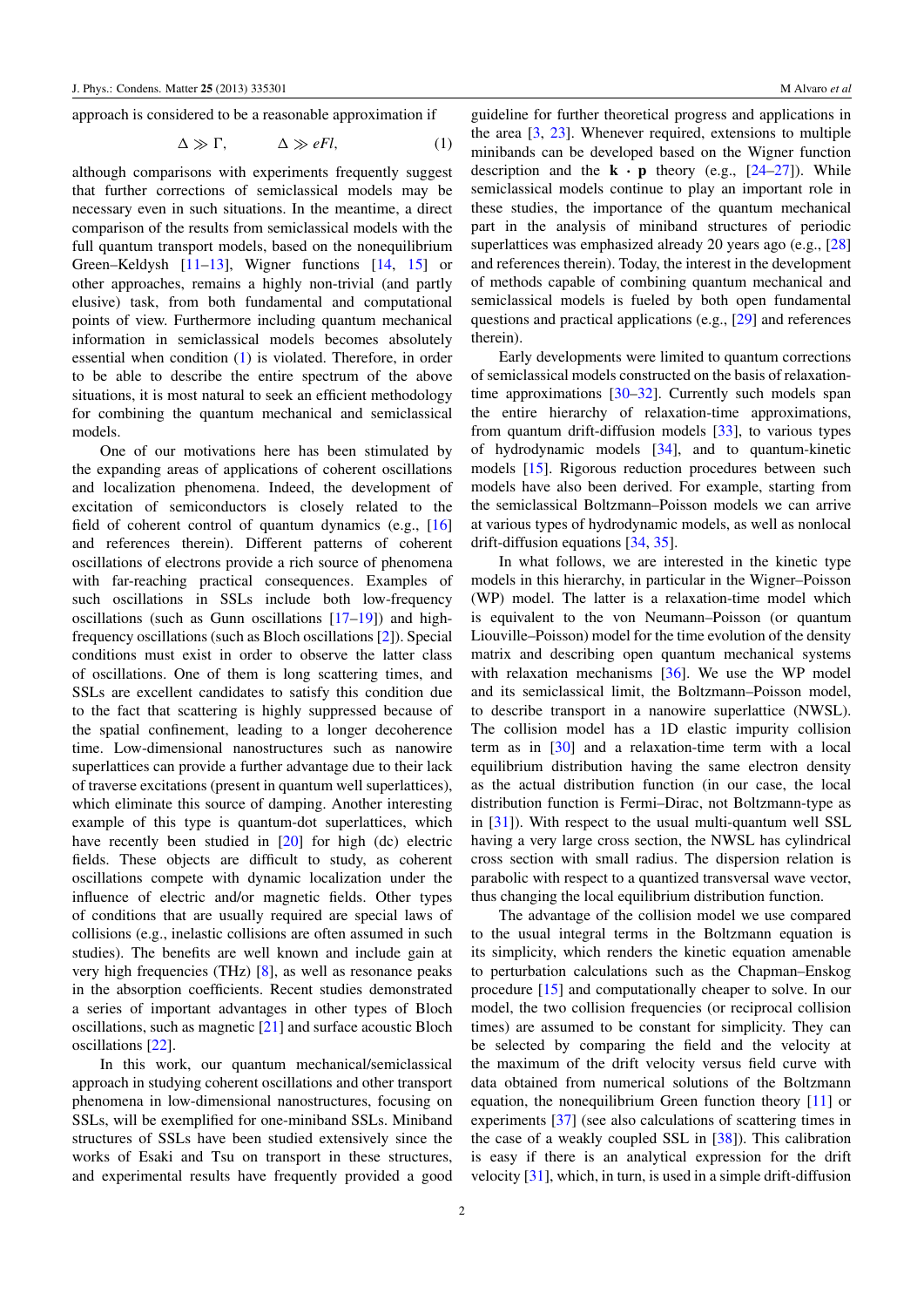approach is considered to be a reasonable approximation if

$$
\Delta \gg \Gamma, \qquad \Delta \gg eFl,\tag{1}
$$

although comparisons with experiments frequently suggest that further corrections of semiclassical models may be necessary even in such situations. In the meantime, a direct comparison of the results from semiclassical models with the full quantum transport models, based on the nonequilibrium Green–Keldysh [\[11–](#page-10-8)[13\]](#page-10-9), Wigner functions [\[14,](#page-10-10) [15\]](#page-10-11) or other approaches, remains a highly non-trivial (and partly elusive) task, from both fundamental and computational points of view. Furthermore including quantum mechanical information in semiclassical models becomes absolutely essential when condition [\(1\)](#page-2-0) is violated. Therefore, in order to be able to describe the entire spectrum of the above situations, it is most natural to seek an efficient methodology for combining the quantum mechanical and semiclassical models.

One of our motivations here has been stimulated by the expanding areas of applications of coherent oscillations and localization phenomena. Indeed, the development of excitation of semiconductors is closely related to the field of coherent control of quantum dynamics (e.g., [\[16\]](#page-10-12) and references therein). Different patterns of coherent oscillations of electrons provide a rich source of phenomena with far-reaching practical consequences. Examples of such oscillations in SSLs include both low-frequency oscillations (such as Gunn oscillations [\[17–](#page-10-13)[19\]](#page-10-14)) and highfrequency oscillations (such as Bloch oscillations [\[2\]](#page-10-1)). Special conditions must exist in order to observe the latter class of oscillations. One of them is long scattering times, and SSLs are excellent candidates to satisfy this condition due to the fact that scattering is highly suppressed because of the spatial confinement, leading to a longer decoherence time. Low-dimensional nanostructures such as nanowire superlattices can provide a further advantage due to their lack of traverse excitations (present in quantum well superlattices), which eliminate this source of damping. Another interesting example of this type is quantum-dot superlattices, which have recently been studied in [\[20\]](#page-10-15) for high (dc) electric fields. These objects are difficult to study, as coherent oscillations compete with dynamic localization under the influence of electric and/or magnetic fields. Other types of conditions that are usually required are special laws of collisions (e.g., inelastic collisions are often assumed in such studies). The benefits are well known and include gain at very high frequencies (THz) [\[8\]](#page-10-6), as well as resonance peaks in the absorption coefficients. Recent studies demonstrated a series of important advantages in other types of Bloch oscillations, such as magnetic [\[21\]](#page-10-16) and surface acoustic Bloch oscillations [\[22\]](#page-10-17).

In this work, our quantum mechanical/semiclassical approach in studying coherent oscillations and other transport phenomena in low-dimensional nanostructures, focusing on SSLs, will be exemplified for one-miniband SSLs. Miniband structures of SSLs have been studied extensively since the works of Esaki and Tsu on transport in these structures, and experimental results have frequently provided a good

<span id="page-2-0"></span>guideline for further theoretical progress and applications in the area [\[3,](#page-10-2) [23\]](#page-10-18). Whenever required, extensions to multiple minibands can be developed based on the Wigner function description and the  $\mathbf{k} \cdot \mathbf{p}$  theory (e.g., [\[24](#page-10-19)[–27\]](#page-10-20)). While semiclassical models continue to play an important role in these studies, the importance of the quantum mechanical part in the analysis of miniband structures of periodic superlattices was emphasized already 20 years ago (e.g., [\[28\]](#page-10-21) and references therein). Today, the interest in the development of methods capable of combining quantum mechanical and semiclassical models is fueled by both open fundamental questions and practical applications (e.g., [\[29\]](#page-10-22) and references therein).

Early developments were limited to quantum corrections of semiclassical models constructed on the basis of relaxationtime approximations [\[30–](#page-10-23)[32\]](#page-10-24). Currently such models span the entire hierarchy of relaxation-time approximations, from quantum drift-diffusion models [\[33\]](#page-10-25), to various types of hydrodynamic models [\[34\]](#page-10-26), and to quantum-kinetic models [\[15\]](#page-10-11). Rigorous reduction procedures between such models have also been derived. For example, starting from the semiclassical Boltzmann–Poisson models we can arrive at various types of hydrodynamic models, as well as nonlocal drift-diffusion equations [\[34,](#page-10-26) [35\]](#page-10-27).

In what follows, we are interested in the kinetic type models in this hierarchy, in particular in the Wigner–Poisson (WP) model. The latter is a relaxation-time model which is equivalent to the von Neumann–Poisson (or quantum Liouville–Poisson) model for the time evolution of the density matrix and describing open quantum mechanical systems with relaxation mechanisms [\[36\]](#page-10-28). We use the WP model and its semiclassical limit, the Boltzmann–Poisson model, to describe transport in a nanowire superlattice (NWSL). The collision model has a 1D elastic impurity collision term as in [\[30\]](#page-10-23) and a relaxation-time term with a local equilibrium distribution having the same electron density as the actual distribution function (in our case, the local distribution function is Fermi–Dirac, not Boltzmann-type as in [\[31\]](#page-10-29)). With respect to the usual multi-quantum well SSL having a very large cross section, the NWSL has cylindrical cross section with small radius. The dispersion relation is parabolic with respect to a quantized transversal wave vector, thus changing the local equilibrium distribution function.

The advantage of the collision model we use compared to the usual integral terms in the Boltzmann equation is its simplicity, which renders the kinetic equation amenable to perturbation calculations such as the Chapman–Enskog procedure [\[15\]](#page-10-11) and computationally cheaper to solve. In our model, the two collision frequencies (or reciprocal collision times) are assumed to be constant for simplicity. They can be selected by comparing the field and the velocity at the maximum of the drift velocity versus field curve with data obtained from numerical solutions of the Boltzmann equation, the nonequilibrium Green function theory [\[11\]](#page-10-8) or experiments [\[37\]](#page-10-30) (see also calculations of scattering times in the case of a weakly coupled SSL in [\[38\]](#page-10-31)). This calibration is easy if there is an analytical expression for the drift velocity [\[31\]](#page-10-29), which, in turn, is used in a simple drift-diffusion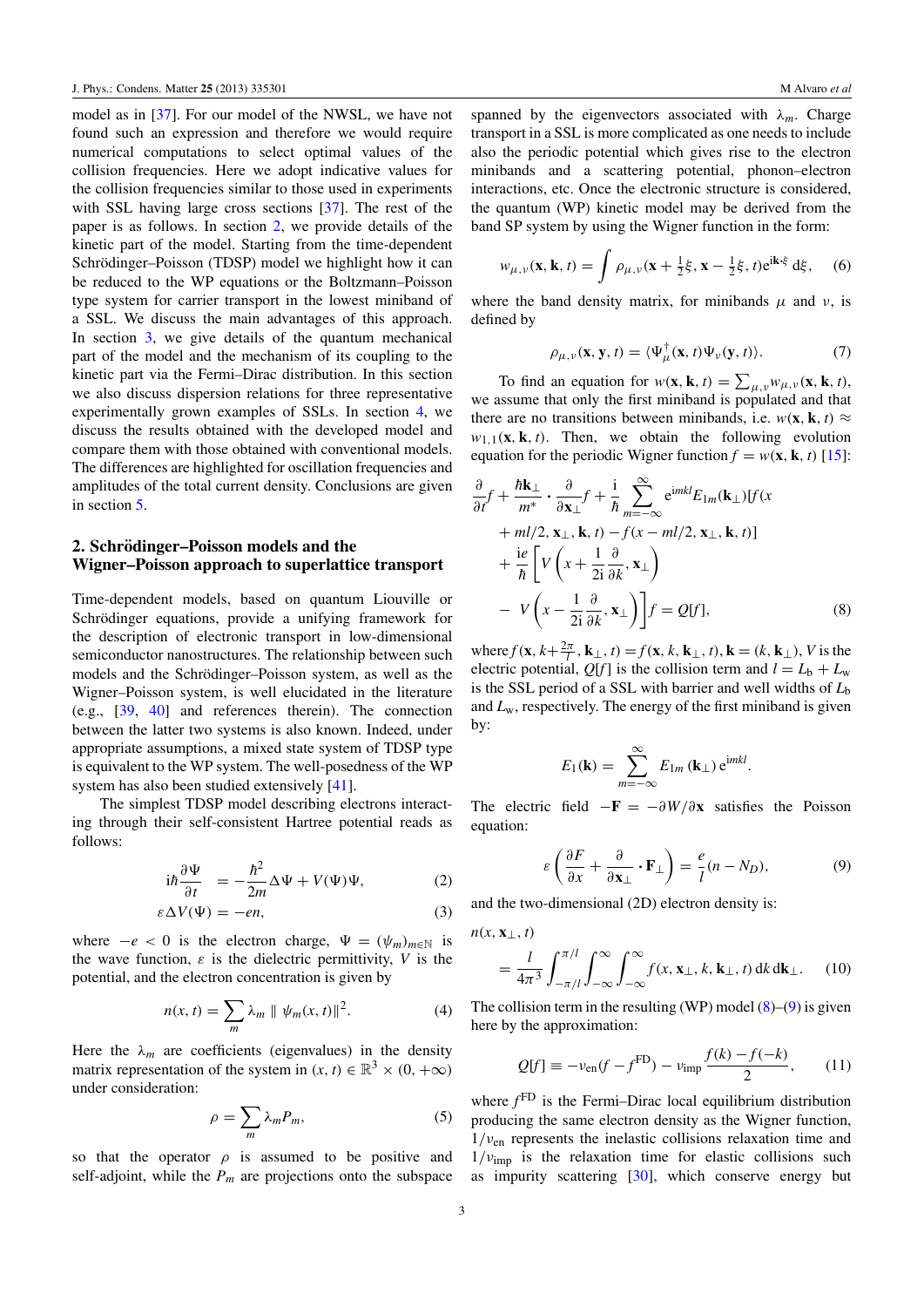model as in [\[37\]](#page-10-30). For our model of the NWSL, we have not found such an expression and therefore we would require numerical computations to select optimal values of the collision frequencies. Here we adopt indicative values for the collision frequencies similar to those used in experiments with SSL having large cross sections [\[37\]](#page-10-30). The rest of the paper is as follows. In section [2,](#page-3-0) we provide details of the kinetic part of the model. Starting from the time-dependent Schrödinger–Poisson (TDSP) model we highlight how it can be reduced to the WP equations or the Boltzmann–Poisson type system for carrier transport in the lowest miniband of a SSL. We discuss the main advantages of this approach. In section [3,](#page-4-0) we give details of the quantum mechanical part of the model and the mechanism of its coupling to the kinetic part via the Fermi–Dirac distribution. In this section we also discuss dispersion relations for three representative experimentally grown examples of SSLs. In section [4,](#page-7-0) we discuss the results obtained with the developed model and compare them with those obtained with conventional models. The differences are highlighted for oscillation frequencies and amplitudes of the total current density. Conclusions are given in section [5.](#page-9-0)

## <span id="page-3-0"></span>2. Schrödinger–Poisson models and the Wigner–Poisson approach to superlattice transport

Time-dependent models, based on quantum Liouville or Schrödinger equations, provide a unifying framework for the description of electronic transport in low-dimensional semiconductor nanostructures. The relationship between such models and the Schrödinger–Poisson system, as well as the Wigner–Poisson system, is well elucidated in the literature (e.g., [\[39,](#page-10-32) [40\]](#page-10-33) and references therein). The connection between the latter two systems is also known. Indeed, under appropriate assumptions, a mixed state system of TDSP type is equivalent to the WP system. The well-posedness of the WP system has also been studied extensively [\[41\]](#page-10-34).

The simplest TDSP model describing electrons interacting through their self-consistent Hartree potential reads as follows:

$$
i\hbar \frac{\partial \Psi}{\partial t} = -\frac{\hbar^2}{2m} \Delta \Psi + V(\Psi)\Psi, \tag{2}
$$

$$
\varepsilon \Delta V(\Psi) = -en,\tag{3}
$$

where  $-e < 0$  is the electron charge,  $\Psi = (\psi_m)_{m \in \mathbb{N}}$  is the wave function,  $\varepsilon$  is the dielectric permittivity,  $V$  is the potential, and the electron concentration is given by

$$
n(x, t) = \sum_{m} \lambda_m \|\psi_m(x, t)\|^2.
$$
 (4)

Here the  $\lambda_m$  are coefficients (eigenvalues) in the density matrix representation of the system in  $(x, t) \in \mathbb{R}^3 \times (0, +\infty)$ under consideration:

$$
\rho = \sum_{m} \lambda_m P_m,\tag{5}
$$

so that the operator  $\rho$  is assumed to be positive and self-adjoint, while the  $P_m$  are projections onto the subspace spanned by the eigenvectors associated with  $\lambda_m$ . Charge transport in a SSL is more complicated as one needs to include also the periodic potential which gives rise to the electron minibands and a scattering potential, phonon–electron interactions, etc. Once the electronic structure is considered, the quantum (WP) kinetic model may be derived from the band SP system by using the Wigner function in the form:

$$
w_{\mu,\nu}(\mathbf{x}, \mathbf{k}, t) = \int \rho_{\mu,\nu}(\mathbf{x} + \frac{1}{2}\xi, \mathbf{x} - \frac{1}{2}\xi, t) e^{i\mathbf{k}\cdot\xi} d\xi, \quad (6)
$$

where the band density matrix, for minibands  $\mu$  and  $\nu$ , is defined by

$$
\rho_{\mu,\nu}(\mathbf{x}, \mathbf{y}, t) = \langle \Psi_{\mu}^{\dagger}(\mathbf{x}, t) \Psi_{\nu}(\mathbf{y}, t) \rangle.
$$
 (7)

To find an equation for  $w(\mathbf{x}, \mathbf{k}, t) = \sum_{\mu, \nu} w_{\mu, \nu}(\mathbf{x}, \mathbf{k}, t)$ , we assume that only the first miniband is populated and that there are no transitions between minibands, i.e.  $w(\mathbf{x}, \mathbf{k}, t) \approx$  $w_{1,1}$ (**x**, **k**, *t*). Then, we obtain the following evolution equation for the periodic Wigner function  $f = w(\mathbf{x}, \mathbf{k}, t)$  [\[15\]](#page-10-11):

$$
\frac{\partial}{\partial t}f + \frac{\hbar \mathbf{k}_{\perp}}{m^*} \cdot \frac{\partial}{\partial \mathbf{x}_{\perp}}f + \frac{\mathrm{i}}{\hbar} \sum_{m=-\infty}^{\infty} e^{\mathrm{i}mkl} E_{1m}(\mathbf{k}_{\perp})[f(x + ml/2, \mathbf{x}_{\perp}, \mathbf{k}, t) - f(x - ml/2, \mathbf{x}_{\perp}, \mathbf{k}, t)] + \frac{\mathrm{i}e}{\hbar} \left[ V\left(x + \frac{1}{2\mathrm{i}} \frac{\partial}{\partial k}, \mathbf{x}_{\perp} \right) - V\left(x - \frac{1}{2\mathrm{i}} \frac{\partial}{\partial k}, \mathbf{x}_{\perp} \right) \right] f = Q[f], \tag{8}
$$

where  $f(\mathbf{x}, k + \frac{2\pi}{l}, \mathbf{k}_{\perp}, t) = f(\mathbf{x}, k, \mathbf{k}_{\perp}, t), \mathbf{k} = (k, \mathbf{k}_{\perp}), V$  is the electric potential,  $Q[f]$  is the collision term and  $l = L_b + L_w$ is the SSL period of a SSL with barrier and well widths of *L*<sup>b</sup> and *L*w, respectively. The energy of the first miniband is given by:

<span id="page-3-2"></span><span id="page-3-1"></span>
$$
E_1(\mathbf{k}) = \sum_{m=-\infty}^{\infty} E_{1m}(\mathbf{k}_{\perp}) e^{imkl}.
$$

The electric field  $-F = -\partial W/\partial x$  satisfies the Poisson equation:

$$
\varepsilon \left( \frac{\partial F}{\partial x} + \frac{\partial}{\partial \mathbf{x}_{\perp}} \cdot \mathbf{F}_{\perp} \right) = \frac{e}{l} (n - N_D), \tag{9}
$$

and the two-dimensional (2D) electron density is:

$$
n(x, \mathbf{x}_{\perp}, t)
$$

$$
= \frac{l}{4\pi^3} \int_{-\pi/l}^{\pi/l} \int_{-\infty}^{\infty} \int_{-\infty}^{\infty} f(x, \mathbf{x}_{\perp}, k, \mathbf{k}_{\perp}, t) \, d\mathbf{k} \, d\mathbf{k}_{\perp}. \tag{10}
$$

The collision term in the resulting (WP) model  $(8)$ – $(9)$  is given here by the approximation:

<span id="page-3-3"></span>
$$
Q[f] \equiv -\nu_{\rm en}(f - f^{\rm FD}) - \nu_{\rm imp} \frac{f(k) - f(-k)}{2},\qquad(11)
$$

where  $f^{\text{FD}}$  is the Fermi–Dirac local equilibrium distribution producing the same electron density as the Wigner function,  $1/v_{en}$  represents the inelastic collisions relaxation time and  $1/v_{\text{imp}}$  is the relaxation time for elastic collisions such as impurity scattering [\[30\]](#page-10-23), which conserve energy but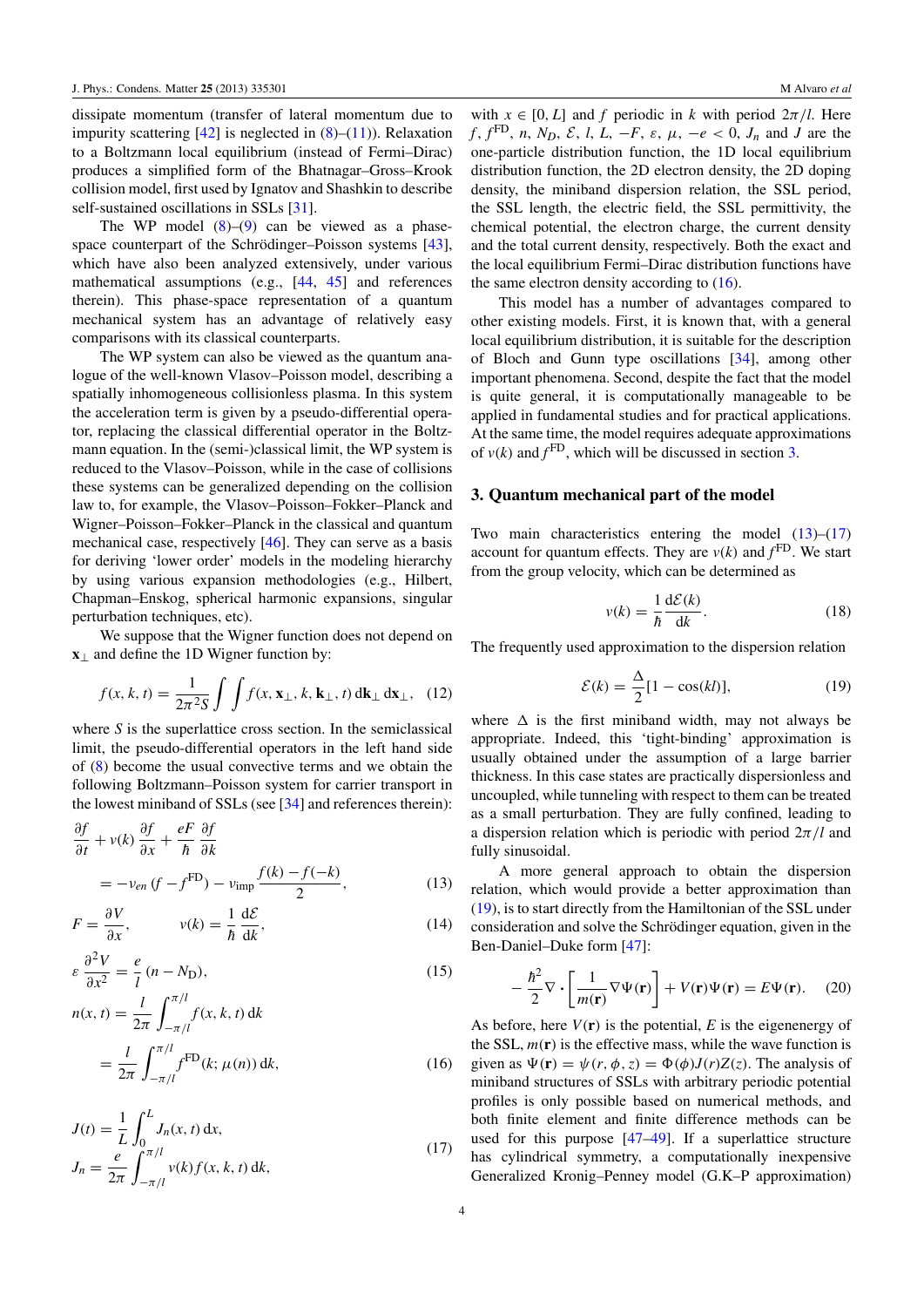dissipate momentum (transfer of lateral momentum due to impurity scattering  $[42]$  is neglected in  $(8)$ – $(11)$ ). Relaxation to a Boltzmann local equilibrium (instead of Fermi–Dirac) produces a simplified form of the Bhatnagar–Gross–Krook collision model, first used by Ignatov and Shashkin to describe self-sustained oscillations in SSLs [\[31\]](#page-10-29).

The WP model  $(8)$ – $(9)$  can be viewed as a phasespace counterpart of the Schrödinger–Poisson systems  $[43]$  $[43]$ , which have also been analyzed extensively, under various mathematical assumptions (e.g., [\[44,](#page-10-37) [45\]](#page-10-38) and references therein). This phase-space representation of a quantum mechanical system has an advantage of relatively easy comparisons with its classical counterparts.

The WP system can also be viewed as the quantum analogue of the well-known Vlasov–Poisson model, describing a spatially inhomogeneous collisionless plasma. In this system the acceleration term is given by a pseudo-differential operator, replacing the classical differential operator in the Boltzmann equation. In the (semi-)classical limit, the WP system is reduced to the Vlasov–Poisson, while in the case of collisions these systems can be generalized depending on the collision law to, for example, the Vlasov–Poisson–Fokker–Planck and Wigner–Poisson–Fokker–Planck in the classical and quantum mechanical case, respectively [\[46\]](#page-10-39). They can serve as a basis for deriving 'lower order' models in the modeling hierarchy by using various expansion methodologies (e.g., Hilbert, Chapman–Enskog, spherical harmonic expansions, singular perturbation techniques, etc).

We suppose that the Wigner function does not depend on  $x<sub>⊥</sub>$  and define the 1D Wigner function by:

$$
f(x, k, t) = \frac{1}{2\pi^2 S} \int \int f(x, \mathbf{x}_{\perp}, k, \mathbf{k}_{\perp}, t) d\mathbf{k}_{\perp} d\mathbf{x}_{\perp}, \quad (12)
$$

where *S* is the superlattice cross section. In the semiclassical limit, the pseudo-differential operators in the left hand side of [\(8\)](#page-3-1) become the usual convective terms and we obtain the following Boltzmann–Poisson system for carrier transport in the lowest miniband of SSLs (see [\[34\]](#page-10-26) and references therein):

$$
\frac{\partial f}{\partial t} + v(k) \frac{\partial f}{\partial x} + \frac{eF}{\hbar} \frac{\partial f}{\partial k}
$$
  
=  $-v_{en} (f - f^{FD}) - v_{imp} \frac{f(k) - f(-k)}{2}$ , (13)

$$
F = \frac{\partial V}{\partial y}, \qquad v(k) = \frac{1}{2} \frac{dE}{dt}, \qquad (14)
$$

$$
e^{\frac{\partial^2 V}{\partial x^2}} = \frac{e}{I} (n - N_D),
$$
 (15)

$$
u_{0x} = \frac{1}{2\pi} \int_{-\pi/l}^{\pi/l} f(x, k, t) \, dk
$$
  
= 
$$
\frac{1}{2\pi} \int_{-\pi/l}^{\pi/l} f^{FD}(k; \mu(n)) \, dk,
$$
 (16)

$$
J(t) = \frac{1}{L} \int_0^L J_n(x, t) dx,
$$
  
\n
$$
J_n = \frac{e}{2\pi} \int_{-\pi/l}^{\pi/l} v(k) f(x, k, t) dk,
$$
\n(17)

with  $x \in [0, L]$  and *f* periodic in *k* with period  $2\pi/l$ . Here *f*,  $f^{\text{FD}}$ , *n*, *N<sub>D</sub>*,  $\mathcal{E}$ , *l*, *L*,  $-F$ ,  $\varepsilon$ ,  $\mu$ ,  $-e < 0$ ,  $J_n$  and *J* are the one-particle distribution function, the 1D local equilibrium distribution function, the 2D electron density, the 2D doping density, the miniband dispersion relation, the SSL period, the SSL length, the electric field, the SSL permittivity, the chemical potential, the electron charge, the current density and the total current density, respectively. Both the exact and the local equilibrium Fermi–Dirac distribution functions have the same electron density according to  $(16)$ .

This model has a number of advantages compared to other existing models. First, it is known that, with a general local equilibrium distribution, it is suitable for the description of Bloch and Gunn type oscillations [\[34\]](#page-10-26), among other important phenomena. Second, despite the fact that the model is quite general, it is computationally manageable to be applied in fundamental studies and for practical applications. At the same time, the model requires adequate approximations of  $v(k)$  and  $f<sup>FD</sup>$ , which will be discussed in section [3.](#page-4-0)

#### <span id="page-4-0"></span>3. Quantum mechanical part of the model

Two main characteristics entering the model  $(13)$ – $(17)$ account for quantum effects. They are  $v(k)$  and  $f<sup>FD</sup>$ . We start from the group velocity, which can be determined as

<span id="page-4-4"></span>
$$
v(k) = \frac{1}{\hbar} \frac{\mathrm{d}\mathcal{E}(k)}{\mathrm{d}k}.
$$
 (18)

The frequently used approximation to the dispersion relation

$$
\mathcal{E}(k) = \frac{\Delta}{2} [1 - \cos(kl)],\tag{19}
$$

where  $\Delta$  is the first miniband width, may not always be appropriate. Indeed, this 'tight-binding' approximation is usually obtained under the assumption of a large barrier thickness. In this case states are practically dispersionless and uncoupled, while tunneling with respect to them can be treated as a small perturbation. They are fully confined, leading to a dispersion relation which is periodic with period  $2\pi/l$  and fully sinusoidal.

<span id="page-4-2"></span>A more general approach to obtain the dispersion relation, which would provide a better approximation than [\(19\)](#page-4-4), is to start directly from the Hamiltonian of the SSL under consideration and solve the Schrödinger equation, given in the Ben-Daniel–Duke form [\[47\]](#page-10-40):

$$
-\frac{\hbar^2}{2}\nabla \cdot \left[\frac{1}{m(\mathbf{r})}\nabla \Psi(\mathbf{r})\right] + V(\mathbf{r})\Psi(\mathbf{r}) = E\Psi(\mathbf{r}).\tag{20}
$$

<span id="page-4-3"></span><span id="page-4-1"></span>As before, here  $V(\mathbf{r})$  is the potential,  $E$  is the eigenenergy of the SSL,  $m(\mathbf{r})$  is the effective mass, while the wave function is given as  $\Psi(\mathbf{r}) = \psi(r, \phi, z) = \Phi(\phi)J(r)Z(z)$ . The analysis of miniband structures of SSLs with arbitrary periodic potential profiles is only possible based on numerical methods, and both finite element and finite difference methods can be used for this purpose [\[47](#page-10-40)[–49\]](#page-10-41). If a superlattice structure has cylindrical symmetry, a computationally inexpensive Generalized Kronig–Penney model (G.K–P approximation)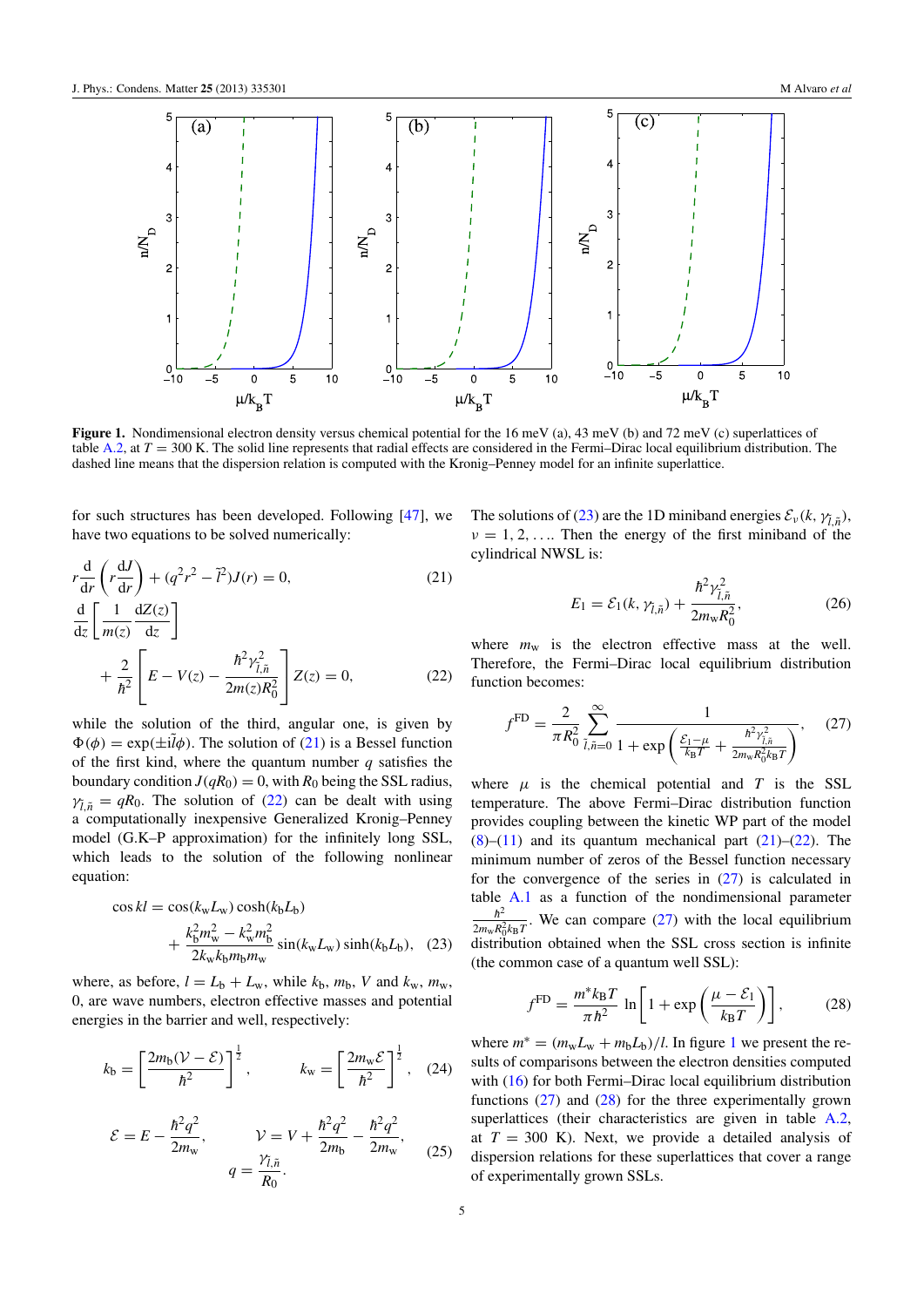<span id="page-5-4"></span>

Figure 1. Nondimensional electron density versus chemical potential for the 16 meV (a), 43 meV (b) and 72 meV (c) superlattices of table [A.2,](#page-9-1) at  $T = 300$  K. The solid line represents that radial effects are considered in the Fermi–Dirac local equilibrium distribution. The dashed line means that the dispersion relation is computed with the Kronig–Penney model for an infinite superlattice.

for such structures has been developed. Following [\[47\]](#page-10-40), we have two equations to be solved numerically:

$$
r\frac{d}{dr}\left(r\frac{dJ}{dr}\right) + (q^2r^2 - \tilde{l}^2)J(r) = 0,
$$
\n(21)\n
$$
\frac{d}{dz}\left[\frac{1}{m(z)}\frac{dZ(z)}{dz}\right]
$$
\n
$$
+\frac{2}{\hbar^2}\left[E - V(z) - \frac{\hbar^2\gamma_{\tilde{l},\tilde{n}}^2}{2m(z)R_0^2}\right]Z(z) = 0,
$$
\n(22)

while the solution of the third, angular one, is given by  $\Phi(\phi) = \exp(\pm i\tilde{l}\phi)$ . The solution of [\(21\)](#page-5-0) is a Bessel function of the first kind, where the quantum number *q* satisfies the boundary condition  $J(qR_0) = 0$ , with  $R_0$  being the SSL radius,  $\gamma_{\tilde{l},\tilde{n}} = qR_0$ . The solution of [\(22\)](#page-5-1) can be dealt with using a computationally inexpensive Generalized Kronig–Penney model (G.K–P approximation) for the infinitely long SSL, which leads to the solution of the following nonlinear equation:

$$
\cos kl = \cos(k_w L_w) \cosh(k_b L_b) + \frac{k_b^2 m_w^2 - k_w^2 m_b^2}{2k_w k_b m_b m_w} \sin(k_w L_w) \sinh(k_b L_b),
$$
 (23)

where, as before,  $l = L_b + L_w$ , while  $k_b$ ,  $m_b$ ,  $V$  and  $k_w$ ,  $m_w$ , 0, are wave numbers, electron effective masses and potential energies in the barrier and well, respectively:

$$
k_{\rm b} = \left[\frac{2m_{\rm b}(\mathcal{V}-\mathcal{E})}{\hbar^2}\right]^{\frac{1}{2}}, \qquad k_{\rm w} = \left[\frac{2m_{\rm w}\mathcal{E}}{\hbar^2}\right]^{\frac{1}{2}}, \quad (24)
$$

$$
\mathcal{E} = E - \frac{\hbar^2 q^2}{2m_{\rm w}}, \qquad \mathcal{V} = V + \frac{\hbar^2 q^2}{2m_{\rm b}} - \frac{\hbar^2 q^2}{2m_{\rm w}}, \qquad (25)
$$

$$
q = \frac{\gamma_{\tilde{l},\tilde{n}}}{R_0}.
$$

<span id="page-5-0"></span>The solutions of [\(23\)](#page-5-2) are the 1D miniband energies  $\mathcal{E}_{\nu}(k, \gamma_{\tilde{l}, \tilde{n}})$ ,  $v = 1, 2, \ldots$  Then the energy of the first miniband of the cylindrical NWSL is:

<span id="page-5-3"></span>
$$
E_1 = \mathcal{E}_1(k, \gamma_{\tilde{l}, \tilde{n}}) + \frac{\hbar^2 \gamma_{\tilde{l}, \tilde{n}}^2}{2m_{\rm w} R_0^2},
$$
 (26)

<span id="page-5-1"></span>where  $m_w$  is the electron effective mass at the well. Therefore, the Fermi–Dirac local equilibrium distribution function becomes:

$$
f^{\rm FD} = \frac{2}{\pi R_0^2} \sum_{\tilde{l}, \tilde{n}=0}^{\infty} \frac{1}{1 + \exp\left(\frac{\mathcal{E}_1 - \mu}{k_B T} + \frac{\hbar^2 \gamma_{\tilde{l},\tilde{n}}^2}{2m_{\rm w} R_0^2 k_B T}\right)},\quad (27)
$$

where  $\mu$  is the chemical potential and  $T$  is the SSL temperature. The above Fermi–Dirac distribution function provides coupling between the kinetic WP part of the model  $(8)$ – $(11)$  and its quantum mechanical part  $(21)$ – $(22)$ . The minimum number of zeros of the Bessel function necessary for the convergence of the series in [\(27\)](#page-5-3) is calculated in table [A.1](#page-9-2) as a function of the nondimensional parameter  $\hbar^2$  $\frac{h^2}{2m_wR_0^2k_BT}$ . We can compare [\(27\)](#page-5-3) with the local equilibrium distribution obtained when the SSL cross section is infinite (the common case of a quantum well SSL):

<span id="page-5-5"></span><span id="page-5-2"></span>
$$
f^{\rm FD} = \frac{m^* k_{\rm B} T}{\pi \hbar^2} \ln \left[ 1 + \exp\left(\frac{\mu - \mathcal{E}_1}{k_{\rm B} T}\right) \right],\tag{28}
$$

<span id="page-5-7"></span><span id="page-5-6"></span>where  $m^* = (m_w L_w + m_b L_b)/l$ . In figure [1](#page-5-4) we present the results of comparisons between the electron densities computed with [\(16\)](#page-4-1) for both Fermi–Dirac local equilibrium distribution functions [\(27\)](#page-5-3) and [\(28\)](#page-5-5) for the three experimentally grown superlattices (their characteristics are given in table [A.2,](#page-9-1) at  $T = 300$  K). Next, we provide a detailed analysis of dispersion relations for these superlattices that cover a range of experimentally grown SSLs.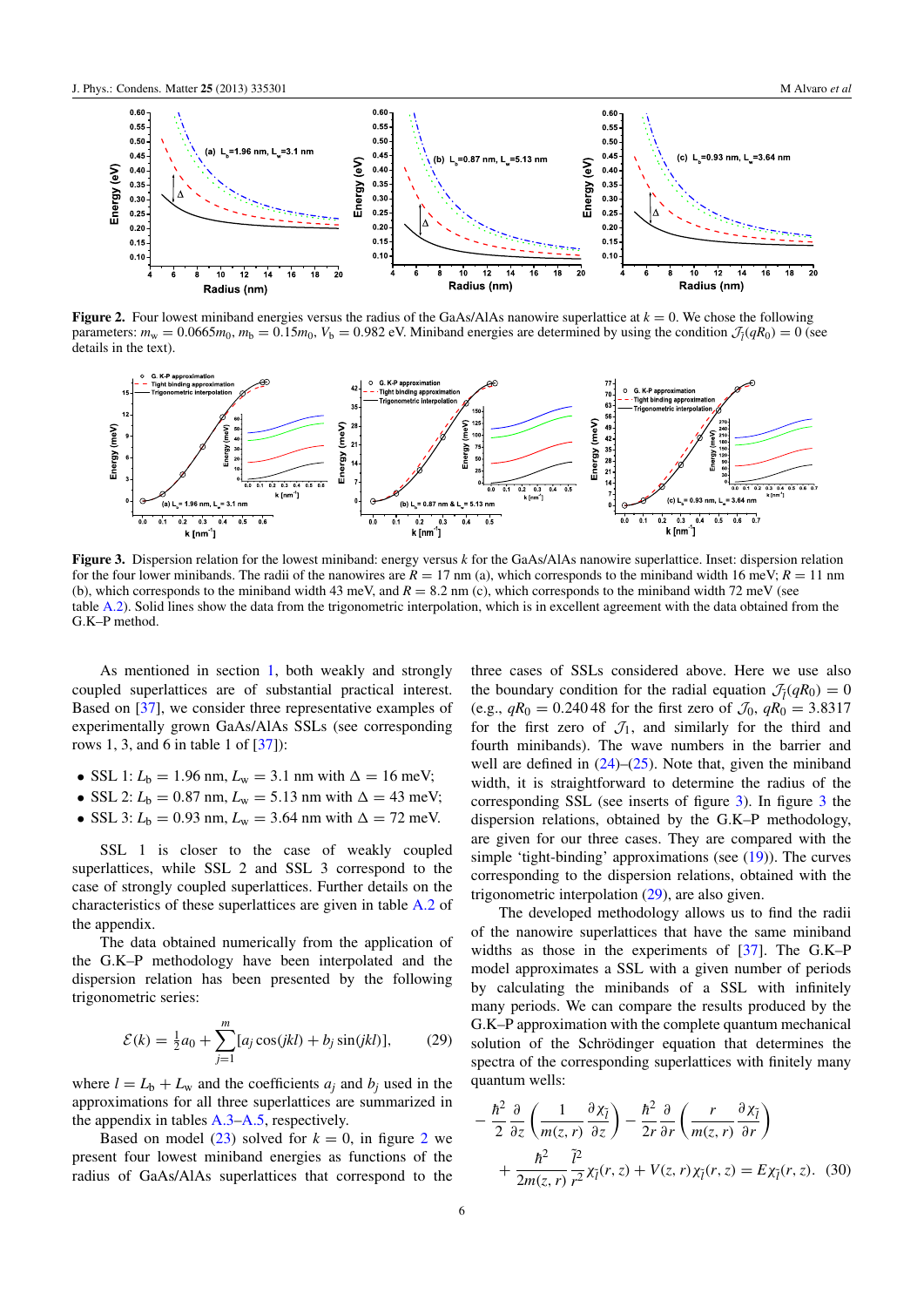<span id="page-6-0"></span>

**Figure 2.** Four lowest miniband energies versus the radius of the GaAs/AlAs nanowire superlattice at  $k = 0$ . We chose the following parameters:  $m_w = 0.0665m_0$ ,  $m_b = 0.15m_0$ ,  $V_b = 0.982$  eV. Miniband energies are determined by using the condition  $\mathcal{J}_i(qR_0) = 0$  (see details in the text).

<span id="page-6-1"></span>

Figure 3. Dispersion relation for the lowest miniband: energy versus *k* for the GaAs/AlAs nanowire superlattice. Inset: dispersion relation for the four lower minibands. The radii of the nanowires are  $R = 17$  nm (a), which corresponds to the miniband width 16 meV;  $R = 11$  nm (b), which corresponds to the miniband width 43 meV, and *R* = 8.2 nm (c), which corresponds to the miniband width 72 meV (see table [A.2\)](#page-9-1). Solid lines show the data from the trigonometric interpolation, which is in excellent agreement with the data obtained from the G.K–P method.

As mentioned in section [1,](#page-1-2) both weakly and strongly coupled superlattices are of substantial practical interest. Based on [\[37\]](#page-10-30), we consider three representative examples of experimentally grown GaAs/AlAs SSLs (see corresponding rows 1, 3, and 6 in table 1 of [\[37\]](#page-10-30)):

- SSL 1:  $L_b = 1.96$  nm,  $L_w = 3.1$  nm with  $\Delta = 16$  meV;
- SSL 2:  $L_b = 0.87$  nm,  $L_w = 5.13$  nm with  $\Delta = 43$  meV;
- SSL 3:  $L_b = 0.93$  nm,  $L_w = 3.64$  nm with  $\Delta = 72$  meV.

SSL 1 is closer to the case of weakly coupled superlattices, while SSL 2 and SSL 3 correspond to the case of strongly coupled superlattices. Further details on the characteristics of these superlattices are given in table [A.2](#page-9-1) of the appendix.

The data obtained numerically from the application of the G.K–P methodology have been interpolated and the dispersion relation has been presented by the following trigonometric series:

$$
\mathcal{E}(k) = \frac{1}{2}a_0 + \sum_{j=1}^{m} [a_j \cos(jkl) + b_j \sin(jkl)],
$$
 (29)

where  $l = L_b + L_w$  and the coefficients  $a_i$  and  $b_j$  used in the approximations for all three superlattices are summarized in the appendix in tables [A.3–](#page-9-3)[A.5,](#page-10-42) respectively.

Based on model  $(23)$  solved for  $k = 0$ , in figure [2](#page-6-0) we present four lowest miniband energies as functions of the radius of GaAs/AlAs superlattices that correspond to the

three cases of SSLs considered above. Here we use also the boundary condition for the radial equation  $\mathcal{J}_{\tilde{l}}(qR_0) = 0$ (e.g.,  $qR_0 = 0.24048$  for the first zero of  $\mathcal{J}_0$ ,  $qR_0 = 3.8317$ for the first zero of  $\mathcal{J}_1$ , and similarly for the third and fourth minibands). The wave numbers in the barrier and well are defined in  $(24)$ – $(25)$ . Note that, given the miniband width, it is straightforward to determine the radius of the corresponding SSL (see inserts of figure [3\)](#page-6-1). In figure [3](#page-6-1) the dispersion relations, obtained by the G.K–P methodology, are given for our three cases. They are compared with the simple 'tight-binding' approximations (see [\(19\)](#page-4-4)). The curves corresponding to the dispersion relations, obtained with the trigonometric interpolation [\(29\)](#page-6-2), are also given.

The developed methodology allows us to find the radii of the nanowire superlattices that have the same miniband widths as those in the experiments of [\[37\]](#page-10-30). The G.K–P model approximates a SSL with a given number of periods by calculating the minibands of a SSL with infinitely many periods. We can compare the results produced by the G.K–P approximation with the complete quantum mechanical solution of the Schrödinger equation that determines the spectra of the corresponding superlattices with finitely many quantum wells:

<span id="page-6-2"></span>
$$
-\frac{\hbar^2}{2} \frac{\partial}{\partial z} \left( \frac{1}{m(z,r)} \frac{\partial \chi_{\tilde{l}}}{\partial z} \right) - \frac{\hbar^2}{2r} \frac{\partial}{\partial r} \left( \frac{r}{m(z,r)} \frac{\partial \chi_{\tilde{l}}}{\partial r} \right) + \frac{\hbar^2}{2m(z,r)} \frac{\tilde{l}^2}{r^2} \chi_{\tilde{l}}(r,z) + V(z,r) \chi_{\tilde{l}}(r,z) = E \chi_{\tilde{l}}(r,z). \tag{30}
$$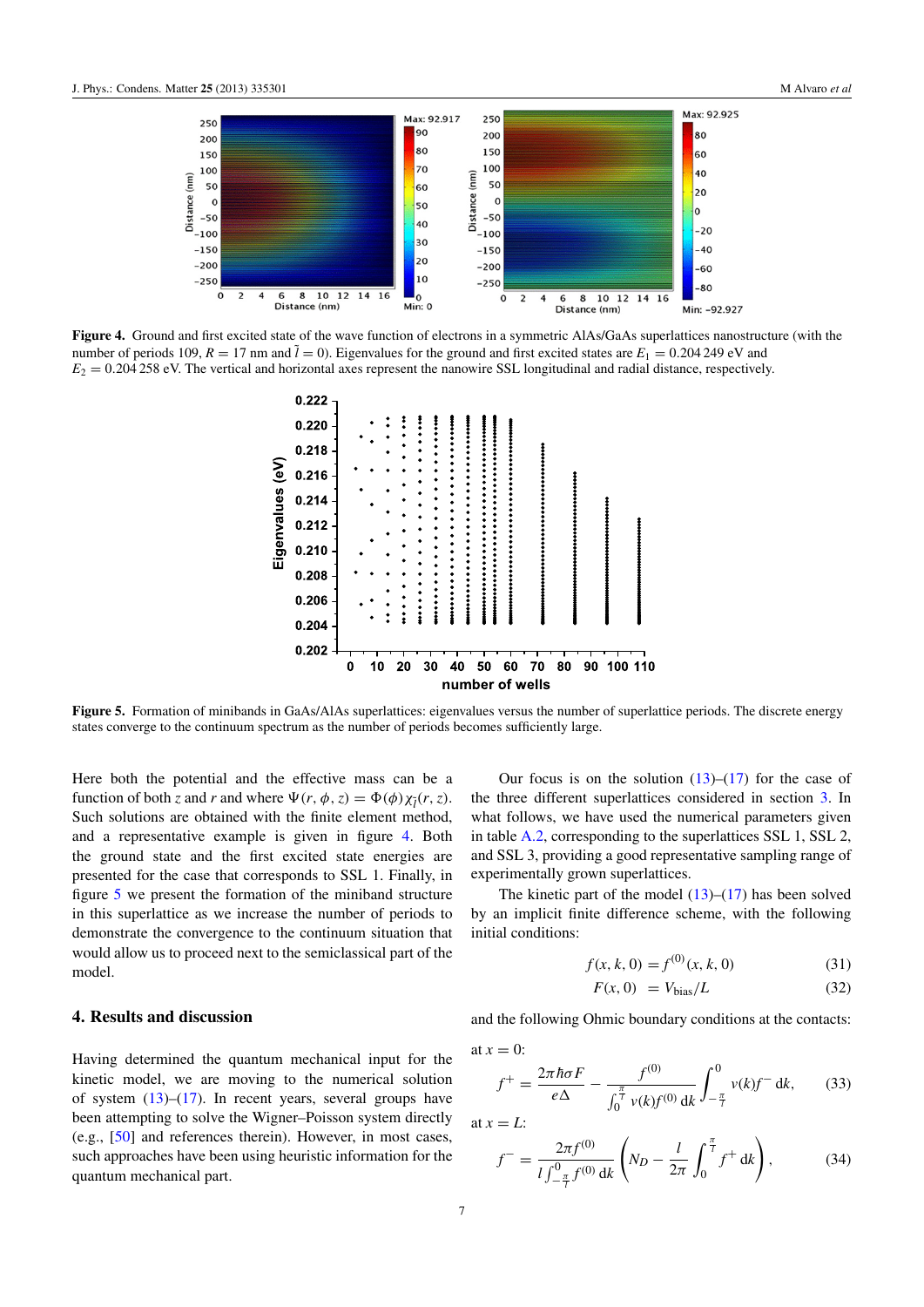<span id="page-7-1"></span>

<span id="page-7-2"></span>Figure 4. Ground and first excited state of the wave function of electrons in a symmetric AlAs/GaAs superlattices nanostructure (with the number of periods 109,  $R = 17$  nm and  $\tilde{l} = 0$ ). Eigenvalues for the ground and first excited states are  $E_1 = 0.204249$  eV and  $E_2 = 0.204258$  eV. The vertical and horizontal axes represent the nanowire SSL longitudinal and radial distance, respectively.



Figure 5. Formation of minibands in GaAs/AlAs superlattices: eigenvalues versus the number of superlattice periods. The discrete energy states converge to the continuum spectrum as the number of periods becomes sufficiently large.

Here both the potential and the effective mass can be a function of both *z* and *r* and where  $\Psi(r, \phi, z) = \Phi(\phi) \chi_{\tilde{l}}(r, z)$ . Such solutions are obtained with the finite element method, and a representative example is given in figure [4.](#page-7-1) Both the ground state and the first excited state energies are presented for the case that corresponds to SSL 1. Finally, in figure [5](#page-7-2) we present the formation of the miniband structure in this superlattice as we increase the number of periods to demonstrate the convergence to the continuum situation that would allow us to proceed next to the semiclassical part of the model.

## <span id="page-7-0"></span>4. Results and discussion

Having determined the quantum mechanical input for the kinetic model, we are moving to the numerical solution of system  $(13)$ – $(17)$ . In recent years, several groups have been attempting to solve the Wigner–Poisson system directly (e.g., [\[50\]](#page-10-43) and references therein). However, in most cases, such approaches have been using heuristic information for the quantum mechanical part.

Our focus is on the solution  $(13)$ – $(17)$  for the case of the three different superlattices considered in section [3.](#page-4-0) In what follows, we have used the numerical parameters given in table [A.2,](#page-9-1) corresponding to the superlattices SSL 1, SSL 2, and SSL 3, providing a good representative sampling range of experimentally grown superlattices.

The kinetic part of the model  $(13)$ – $(17)$  has been solved by an implicit finite difference scheme, with the following initial conditions:

$$
f(x, k, 0) = f^{(0)}(x, k, 0)
$$
 (31)

$$
F(x, 0) = V_{bias}/L \tag{32}
$$

and the following Ohmic boundary conditions at the contacts: at  $x = 0$ :

$$
f^{+} = \frac{2\pi \hbar \sigma F}{e\Delta} - \frac{f^{(0)}}{\int_0^{\frac{\pi}{l}} v(k)f^{(0)} \, \mathrm{d}k} \int_{-\frac{\pi}{l}}^0 v(k)f^{-} \, \mathrm{d}k, \qquad (33)
$$

at  $x = L$ :

$$
f^{-} = \frac{2\pi f^{(0)}}{l \int_{-\frac{\pi}{l}}^{0} f^{(0)} \, \mathrm{d}k} \left( N_D - \frac{l}{2\pi} \int_{0}^{\frac{\pi}{l}} f^{+} \, \mathrm{d}k \right),\tag{34}
$$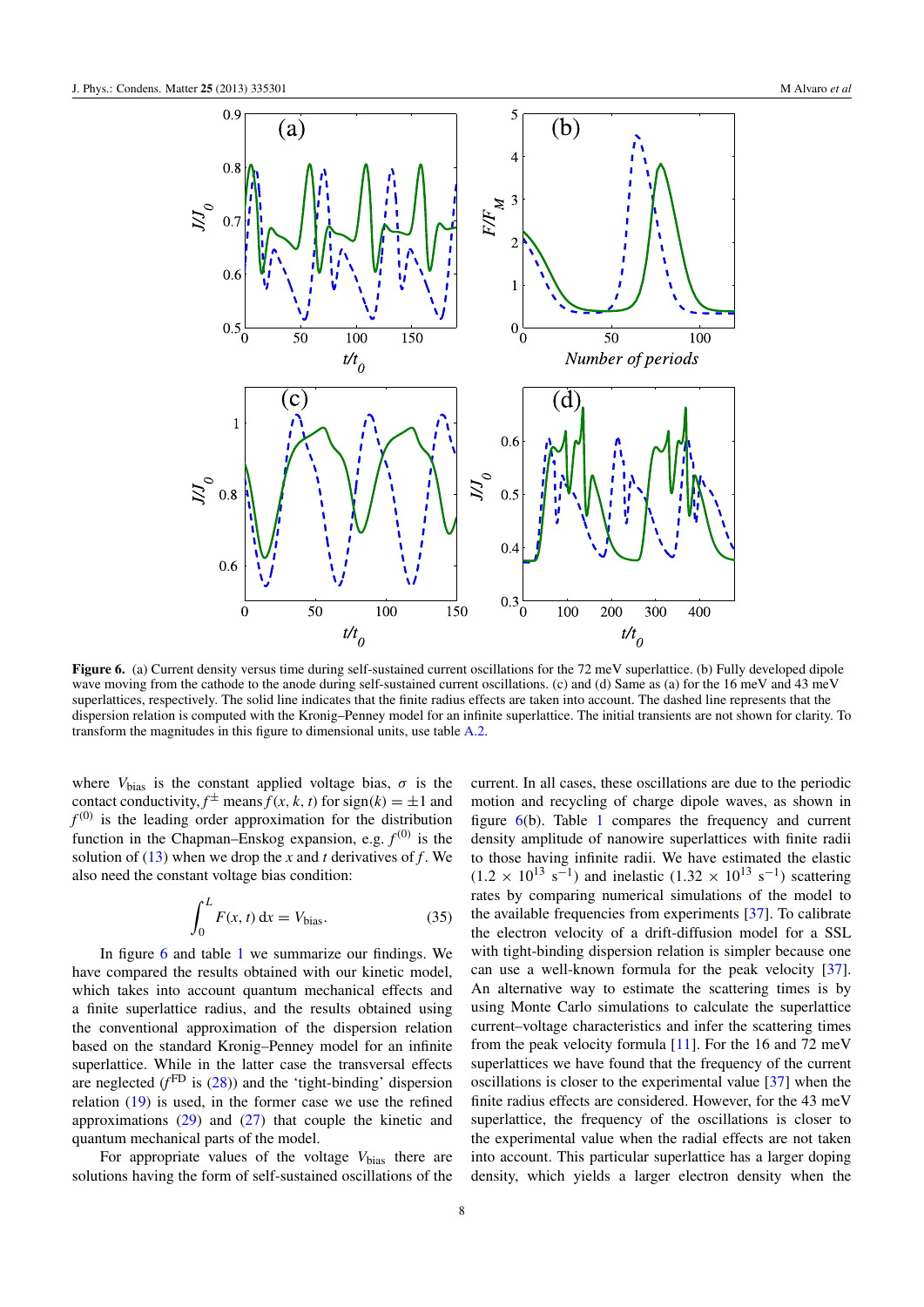<span id="page-8-0"></span>

Figure 6. (a) Current density versus time during self-sustained current oscillations for the 72 meV superlattice. (b) Fully developed dipole wave moving from the cathode to the anode during self-sustained current oscillations. (c) and (d) Same as (a) for the 16 meV and 43 meV superlattices, respectively. The solid line indicates that the finite radius effects are taken into account. The dashed line represents that the dispersion relation is computed with the Kronig–Penney model for an infinite superlattice. The initial transients are not shown for clarity. To transform the magnitudes in this figure to dimensional units, use table [A.2.](#page-9-1)

where  $V_{bias}$  is the constant applied voltage bias,  $\sigma$  is the contact conductivity,  $f^{\pm}$  means  $f(x, k, t)$  for sign( $k$ ) =  $\pm 1$  and  $f^{(0)}$  is the leading order approximation for the distribution function in the Chapman–Enskog expansion, e.g.  $f^{(0)}$  is the solution of  $(13)$  when we drop the *x* and *t* derivatives of *f*. We also need the constant voltage bias condition:

$$
\int_0^L F(x, t) dx = V_{bias}.
$$
 (35)

In figure [6](#page-8-0) and table [1](#page-9-4) we summarize our findings. We have compared the results obtained with our kinetic model, which takes into account quantum mechanical effects and a finite superlattice radius, and the results obtained using the conventional approximation of the dispersion relation based on the standard Kronig–Penney model for an infinite superlattice. While in the latter case the transversal effects are neglected (*f* FD is [\(28\)](#page-5-5)) and the 'tight-binding' dispersion relation [\(19\)](#page-4-4) is used, in the former case we use the refined approximations [\(29\)](#page-6-2) and [\(27\)](#page-5-3) that couple the kinetic and quantum mechanical parts of the model.

For appropriate values of the voltage  $V_{bias}$  there are solutions having the form of self-sustained oscillations of the

motion and recycling of charge dipole waves, as shown in figure  $6(b)$  $6(b)$ . Table [1](#page-9-4) compares the frequency and current density amplitude of nanowire superlattices with finite radii to those having infinite radii. We have estimated the elastic  $(1.2 \times 10^{13} \text{ s}^{-1})$  and inelastic  $(1.32 \times 10^{13} \text{ s}^{-1})$  scattering rates by comparing numerical simulations of the model to the available frequencies from experiments [\[37\]](#page-10-30). To calibrate the electron velocity of a drift-diffusion model for a SSL with tight-binding dispersion relation is simpler because one can use a well-known formula for the peak velocity [\[37\]](#page-10-30). An alternative way to estimate the scattering times is by using Monte Carlo simulations to calculate the superlattice current–voltage characteristics and infer the scattering times from the peak velocity formula [\[11\]](#page-10-8). For the 16 and 72 meV superlattices we have found that the frequency of the current oscillations is closer to the experimental value [\[37\]](#page-10-30) when the finite radius effects are considered. However, for the 43 meV superlattice, the frequency of the oscillations is closer to the experimental value when the radial effects are not taken into account. This particular superlattice has a larger doping density, which yields a larger electron density when the

current. In all cases, these oscillations are due to the periodic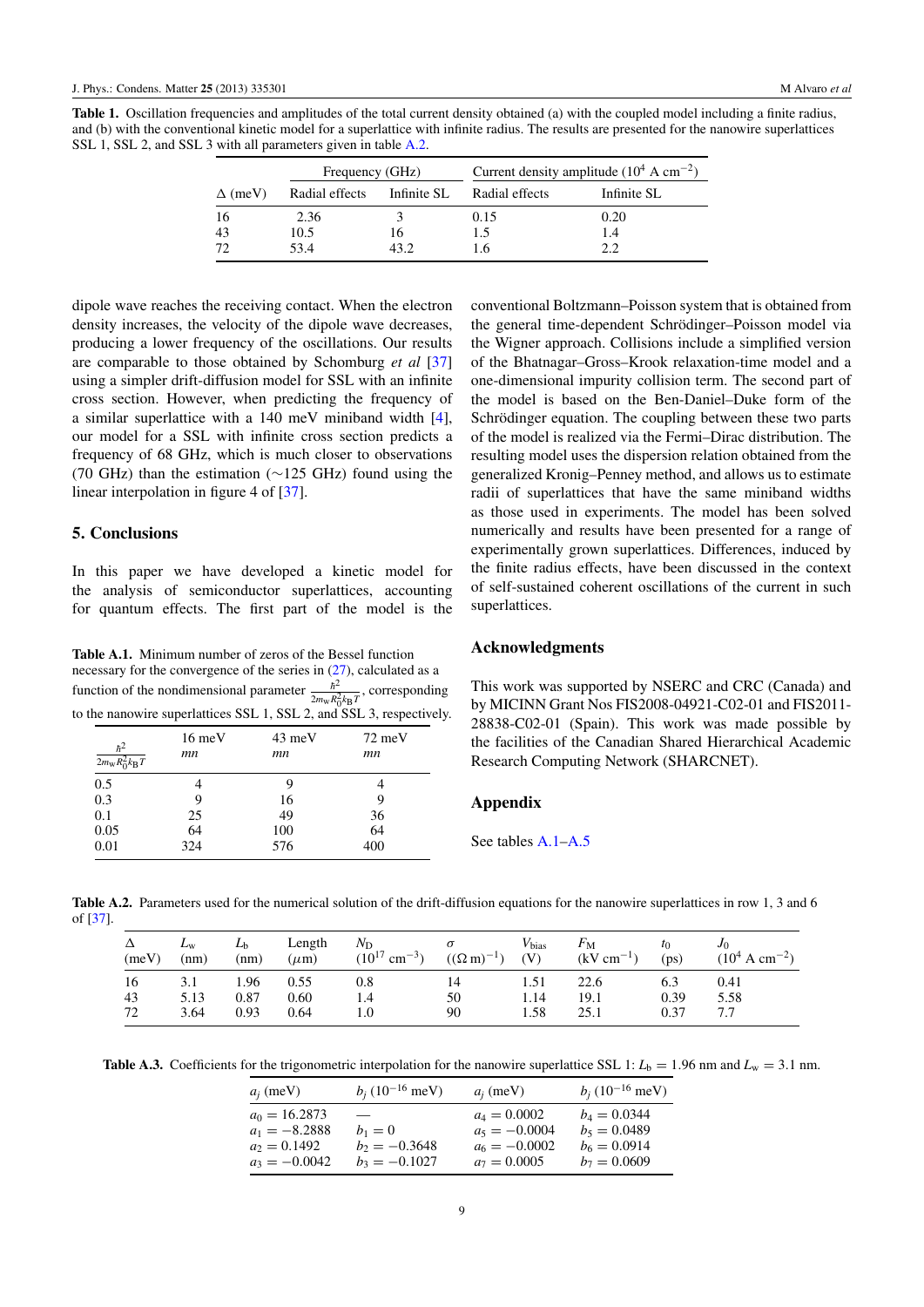<span id="page-9-4"></span>Table 1. Oscillation frequencies and amplitudes of the total current density obtained (a) with the coupled model including a finite radius, and (b) with the conventional kinetic model for a superlattice with infinite radius. The results are presented for the nanowire superlattices SSL 1, SSL 2, and SSL 3 with all parameters given in table [A.2.](#page-9-1)

|                | Frequency (GHz) |             | Current density amplitude $(10^4 \text{ A cm}^{-2})$ |             |  |
|----------------|-----------------|-------------|------------------------------------------------------|-------------|--|
| $\Delta$ (meV) | Radial effects  | Infinite SL | Radial effects                                       | Infinite SL |  |
| 16             | 2.36            |             | 0.15                                                 | 0.20        |  |
| 43             | 10.5            | 16          | 1.5                                                  | 1.4         |  |
| 72             | 53.4            | 43 Z        | 1.6                                                  | 2.2.        |  |

dipole wave reaches the receiving contact. When the electron density increases, the velocity of the dipole wave decreases, producing a lower frequency of the oscillations. Our results are comparable to those obtained by Schomburg *et al* [\[37\]](#page-10-30) using a simpler drift-diffusion model for SSL with an infinite cross section. However, when predicting the frequency of a similar superlattice with a 140 meV miniband width [\[4\]](#page-10-44), our model for a SSL with infinite cross section predicts a frequency of 68 GHz, which is much closer to observations (70 GHz) than the estimation (∼125 GHz) found using the linear interpolation in figure 4 of [\[37\]](#page-10-30).

## <span id="page-9-0"></span>5. Conclusions

In this paper we have developed a kinetic model for the analysis of semiconductor superlattices, accounting for quantum effects. The first part of the model is the

<span id="page-9-2"></span>Table A.1. Minimum number of zeros of the Bessel function necessary for the convergence of the series in [\(27\)](#page-5-3), calculated as a function of the nondimensional parameter  $\frac{h^2}{2}$  $\frac{h^2}{2m_W R_0^2 k_B T}$ , corresponding to the nanowire superlattices SSL 1, SSL 2, and SSL 3, respectively.

| h <sup>2</sup><br>$2m_WR_0^2k_BT$ | $16 \text{ meV}$<br>mn | $43 \text{ meV}$<br>mn | $72 \text{ meV}$<br>mn |
|-----------------------------------|------------------------|------------------------|------------------------|
| 0.5                               |                        | 9                      |                        |
| 0.3                               | 9                      | 16                     | 9                      |
| 0.1                               | 25                     | 49                     | 36                     |
| 0.05                              | 64                     | 100                    | 64                     |
| 0.01                              | 324                    | 576                    | 400                    |

conventional Boltzmann–Poisson system that is obtained from the general time-dependent Schrödinger–Poisson model via the Wigner approach. Collisions include a simplified version of the Bhatnagar–Gross–Krook relaxation-time model and a one-dimensional impurity collision term. The second part of the model is based on the Ben-Daniel–Duke form of the Schrödinger equation. The coupling between these two parts of the model is realized via the Fermi–Dirac distribution. The resulting model uses the dispersion relation obtained from the generalized Kronig–Penney method, and allows us to estimate radii of superlattices that have the same miniband widths as those used in experiments. The model has been solved numerically and results have been presented for a range of experimentally grown superlattices. Differences, induced by the finite radius effects, have been discussed in the context of self-sustained coherent oscillations of the current in such superlattices.

#### Acknowledgments

This work was supported by NSERC and CRC (Canada) and by MICINN Grant Nos FIS2008-04921-C02-01 and FIS2011- 28838-C02-01 (Spain). This work was made possible by the facilities of the Canadian Shared Hierarchical Academic Research Computing Network (SHARCNET).

### Appendix

See tables [A.1–](#page-9-2)[A.5](#page-10-42)

<span id="page-9-1"></span>Table A.2. Parameters used for the numerical solution of the drift-diffusion equations for the nanowire superlattices in row 1, 3 and 6 of [\[37\]](#page-10-30).

| (meV) | $L_{\rm W}$<br>(nm) | $L_{h}$<br>(nm) | Length | $N_{\rm D}$<br>$(\mu m)$ $(10^{17} \text{ cm}^{-3})$ $((\Omega \text{ m})^{-1})$ $(V)$ $(kV \text{ cm}^{-1})$ |    | $V_{\rm bias}$ | $F_{\rm M}$ | $I_{0}$<br>(p <sub>S</sub> ) | JO<br>$(10^4 \text{ A cm}^{-2})$ |
|-------|---------------------|-----------------|--------|---------------------------------------------------------------------------------------------------------------|----|----------------|-------------|------------------------------|----------------------------------|
| 16    | 3.1                 | 1.96            | 0.55   | 0.8                                                                                                           | 14 | 1.51           | 22.6        | 6.3                          | 0.41                             |
| 43    | 5.13                | 0.87            | 0.60   | 1.4                                                                                                           | 50 | 1.14           | 19.1        | 0.39                         | 5.58                             |
| 72    | 3.64                | 0.93            | 0.64   | 1.0                                                                                                           | 90 | 1.58           | 25.1        | 0.37                         |                                  |

<span id="page-9-3"></span>**Table A.3.** Coefficients for the trigonometric interpolation for the nanowire superlattice SSL 1:  $L_b = 1.96$  nm and  $L_w = 3.1$  nm.

| $a_i$ (meV)     | $b_i$ (10 <sup>-16</sup> meV) | $a_i$ (meV)     | $b_i$ (10 <sup>-16</sup> meV) |
|-----------------|-------------------------------|-----------------|-------------------------------|
| $a_0 = 16.2873$ | $\overline{\phantom{a}}$      | $a_4 = 0.0002$  | $b_4 = 0.0344$                |
| $a_1 = -8.2888$ | $b_1 = 0$                     | $a_5 = -0.0004$ | $b_5 = 0.0489$                |
| $a_2 = 0.1492$  | $b_2 = -0.3648$               | $a_6 = -0.0002$ | $b_6 = 0.0914$                |
| $a_3 = -0.0042$ | $b_3 = -0.1027$               | $a_7 = 0.0005$  | $b_7 = 0.0609$                |